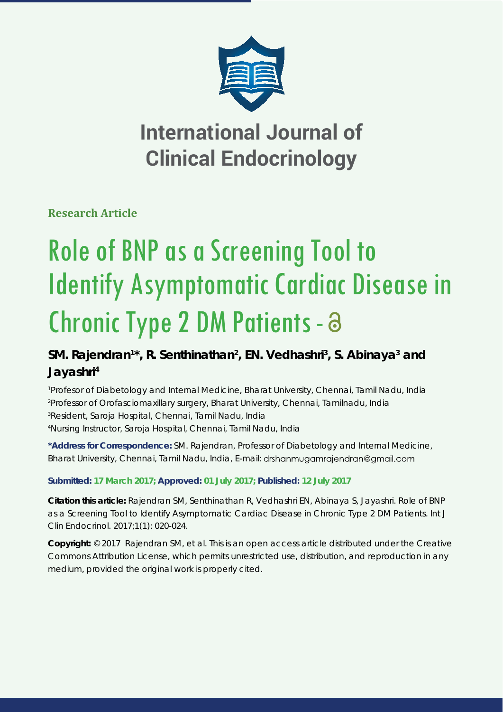

## **International Journal of Clinical Endocrinology**

**Research Article**

# Role of BNP as a Screening Tool to Identify Asymptomatic Cardiac Disease in Chronic Type 2 DM Patients -

### SM. Rajendran<sup>1\*</sup>, R. Senthinathan<sup>2</sup>, EN. Vedhashri<sup>3</sup>, S. Abinaya<sup>3</sup> and **Jayashri4**

 *Profesor of Diabetology and Internal Medicine, Bharat University, Chennai, Tamil Nadu, India Professor of Orofasciomaxillary surgery, Bharat University, Chennai, Tamilnadu, India Resident, Saroja Hospital, Chennai, Tamil Nadu, India Nursing Instructor, Saroja Hospital, Chennai, Tamil Nadu, India*

**\*Address for Correspondence:** SM. Rajendran, Professor of Diabetology and Internal Medicine, Bharat University, Chennai, Tamil Nadu, India, E-mail: drshanmugamrajendran@gmail.com

#### **Submitted: 17 March 2017; Approved: 01 July 2017; Published: 12 July 2017**

**Citation this article:** Rajendran SM, Senthinathan R, Vedhashri EN, Abinaya S, Jayashri. Role of BNP as a Screening Tool to Identify Asymptomatic Cardiac Disease in Chronic Type 2 DM Patients. Int J Clin Endocrinol. 2017;1(1): 020-024.

**Copyright:** © 2017 Rajendran SM, et al. This is an open access article distributed under the Creative Commons Attribution License, which permits unrestricted use, distribution, and reproduction in any medium, provided the original work is properly cited.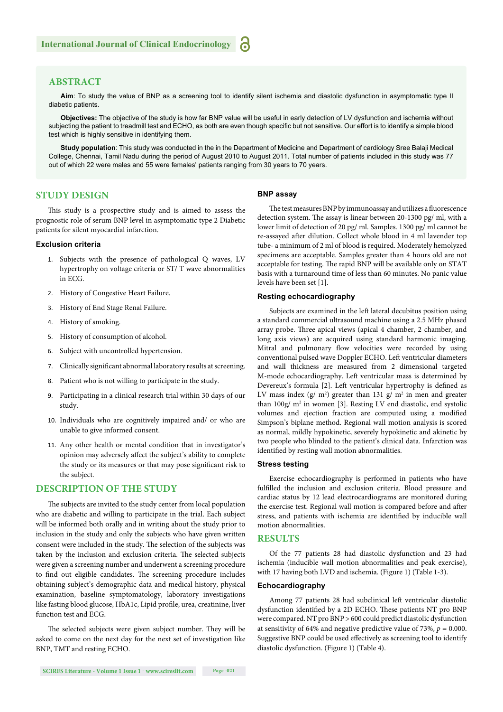#### **ABSTRACT**

**Aim**: To study the value of BNP as a screening tool to identify silent ischemia and diastolic dysfunction in asymptomatic type II diabetic patients.

**Objectives:** The objective of the study is how far BNP value will be useful in early detection of LV dysfunction and ischemia without subjecting the patient to treadmill test and ECHO, as both are even though specific but not sensitive. Our effort is to identify a simple blood test which is highly sensitive in identifying them.

**Study population**: This study was conducted in the in the Department of Medicine and Department of cardiology Sree Balaji Medical College, Chennai, Tamil Nadu during the period of August 2010 to August 2011. Total number of patients included in this study was 77 out of which 22 were males and 55 were females' patients ranging from 30 years to 70 years.

#### **STUDY DESIGN**

This study is a prospective study and is aimed to assess the prognostic role of serum BNP level in asymptomatic type 2 Diabetic patients for silent myocardial infarction.

#### **Exclusion criteria**

- 1. Subjects with the presence of pathological Q waves, LV hypertrophy on voltage criteria or ST/ T wave abnormalities in ECG.
- 2. History of Congestive Heart Failure.
- 3. History of End Stage Renal Failure.
- 4. History of smoking.
- 5. History of consumption of alcohol.
- 6. Subject with uncontrolled hypertension.
- 7. Clinically significant abnormal laboratory results at screening.
- 8. Patient who is not willing to participate in the study.
- 9. Participating in a clinical research trial within 30 days of our study.
- 10. Individuals who are cognitively impaired and/ or who are unable to give informed consent.
- 11. Any other health or mental condition that in investigator's opinion may adversely affect the subject's ability to complete the study or its measures or that may pose significant risk to the subject.

#### **DESCRIPTION OF THE STUDY**

The subjects are invited to the study center from local population who are diabetic and willing to participate in the trial. Each subject will be informed both orally and in writing about the study prior to inclusion in the study and only the subjects who have given written consent were included in the study. The selection of the subjects was taken by the inclusion and exclusion criteria. The selected subjects were given a screening number and underwent a screening procedure to find out eligible candidates. The screening procedure includes obtaining subject's demographic data and medical history, physical examination, baseline symptomatology, laboratory investigations like fasting blood glucose, HbA1c, Lipid profile, urea, creatinine, liver function test and ECG.

The selected subjects were given subject number. They will be asked to come on the next day for the next set of investigation like BNP, TMT and resting ECHO.

#### **BNP assay**

The test measures BNP by immunoassay and utilizes a fluorescence detection system. The assay is linear between 20-1300 pg/ ml, with a lower limit of detection of 20 pg/ ml. Samples. 1300 pg/ ml cannot be re-assayed after dilution. Collect whole blood in 4 ml lavender top tube- a minimum of 2 ml of blood is required. Moderately hemolyzed specimens are acceptable. Samples greater than 4 hours old are not acceptable for testing. The rapid BNP will be available only on STAT basis with a turnaround time of less than 60 minutes. No panic value levels have been set [1].

#### **Resting echocardiography**

Subjects are examined in the left lateral decubitus position using a standard commercial ultrasound machine using a 2.5 MHz phased array probe. Three apical views (apical 4 chamber, 2 chamber, and long axis views) are acquired using standard harmonic imaging. Mitral and pulmonary flow velocities were recorded by using conventional pulsed wave Doppler ECHO. Left ventricular diameters and wall thickness are measured from 2 dimensional targeted M-mode echocardiography. Left ventricular mass is determined by Devereux's formula [2]. Left ventricular hypertrophy is defined as LV mass index  $(g/m^2)$  greater than 131 g/ m<sup>2</sup> in men and greater than 100g/ m<sup>2</sup> in women [3]. Resting LV end diastolic, end systolic volumes and ejection fraction are computed using a modified Simpson's biplane method. Regional wall motion analysis is scored as normal, mildly hypokinetic, severely hypokinetic and akinetic by two people who blinded to the patient's clinical data. Infarction was identified by resting wall motion abnormalities.

#### **Stress testing**

Exercise echocardiography is performed in patients who have fulfilled the inclusion and exclusion criteria. Blood pressure and cardiac status by 12 lead electrocardiograms are monitored during the exercise test. Regional wall motion is compared before and after stress, and patients with ischemia are identified by inducible wall motion abnormalities.

#### **RESULTS**

Of the 77 patients 28 had diastolic dysfunction and 23 had ischemia (inducible wall motion abnormalities and peak exercise), with 17 having both LVD and ischemia. (Figure 1) (Table 1-3).

#### **Echocardiography**

Among 77 patients 28 had subclinical left ventricular diastolic dysfunction identified by a 2D ECHO. These patients NT pro BNP were compared. NT pro BNP > 600 could predict diastolic dysfunction at sensitivity of 64% and negative predictive value of 73%,  $p = 0.000$ . Suggestive BNP could be used effectively as screening tool to identify diastolic dysfunction. (Figure 1) (Table 4).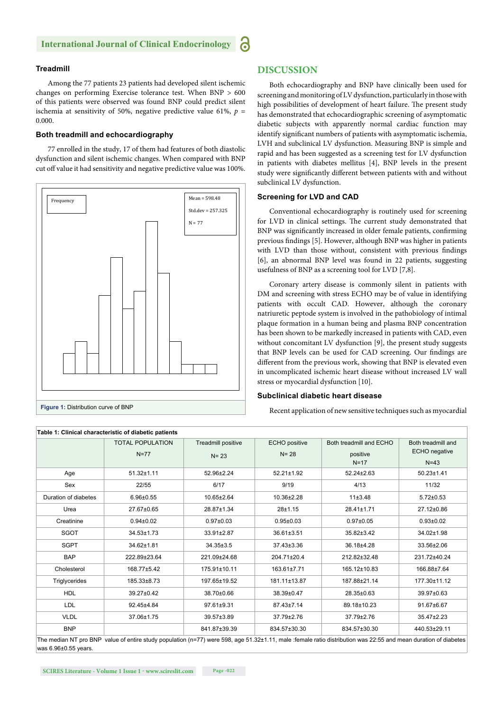#### **Treadmill**

Among the 77 patients 23 patients had developed silent ischemic changes on performing Exercise tolerance test. When BNP > 600 of this patients were observed was found BNP could predict silent ischemia at sensitivity of 50%, negative predictive value 61%,  $p =$ 0.000.

#### **Both treadmill and echocardiography**

77 enrolled in the study, 17 of them had features of both diastolic dysfunction and silent ischemic changes. When compared with BNP cut off value it had sensitivity and negative predictive value was 100%.



#### **DISCUSSION**

Both echocardiography and BNP have clinically been used for screening and monitoring of LV dysfunction, particularly in those with high possibilities of development of heart failure. The present study has demonstrated that echocardiographic screening of asymptomatic diabetic subjects with apparently normal cardiac function may identify significant numbers of patients with asymptomatic ischemia, LVH and subclinical LV dysfunction. Measuring BNP is simple and rapid and has been suggested as a screening test for LV dysfunction in patients with diabetes mellitus [4], BNP levels in the present study were significantly different between patients with and without subclinical LV dysfunction.

#### **Screening for LVD and CAD**

Conventional echocardiography is routinely used for screening for LVD in clinical settings. The current study demonstrated that BNP was significantly increased in older female patients, confirming previous findings [5]. However, although BNP was higher in patients with LVD than those without, consistent with previous findings [6], an abnormal BNP level was found in 22 patients, suggesting usefulness of BNP as a screening tool for LVD [7,8].

Coronary artery disease is commonly silent in patients with DM and screening with stress ECHO may be of value in identifying patients with occult CAD. However, although the coronary natriuretic peptode system is involved in the pathobiology of intimal plaque formation in a human being and plasma BNP concentration has been shown to be markedly increased in patients with CAD, even without concomitant LV dysfunction [9], the present study suggests that BNP levels can be used for CAD screening. Our findings are different from the previous work, showing that BNP is elevated even in uncomplicated ischemic heart disease without increased LV wall stress or myocardial dysfunction [10].

#### **Subclinical diabetic heart disease**

Recent application of new sensitive techniques such as myocardial

|                      | <b>TOTAL POPULATION</b> | Treadmill positive | <b>ECHO</b> positive | Both treadmill and ECHO | Both treadmill and |
|----------------------|-------------------------|--------------------|----------------------|-------------------------|--------------------|
|                      | $N=77$                  | $N = 23$           | $N = 28$             | positive                | ECHO negative      |
|                      |                         |                    |                      | $N=17$                  | $N=43$             |
| Age                  | $51.32 \pm 1.11$        | 52.96±2.24         | 52.21±1.92           | 52.24±2.63              | $50.23 \pm 1.41$   |
| Sex                  | 22/55                   | 6/17               | 9/19                 | 4/13                    | 11/32              |
| Duration of diabetes | $6.96 \pm 0.55$         | 10.65±2.64         | 10.36±2.28           | 11±3.48                 | $5.72 \pm 0.53$    |
| Urea                 | 27.67±0.65              | 28.87±1.34         | $28 + 1.15$          | 28.41±1.71              | 27.12±0.86         |
| Creatinine           | $0.94 \pm 0.02$         | $0.97 + 0.03$      | $0.95 + 0.03$        | $0.97 + 0.05$           | $0.93 + 0.02$      |
| <b>SGOT</b>          | $34.53 \pm 1.73$        | $33.91 \pm 2.87$   | 36.61±3.51           | 35.82±3.42              | 34.02±1.98         |
| <b>SGPT</b>          | 34.62±1.81              | 34.35±3.5          | 37.43±3.36           | 36.18±4.28              | 33.56±2.06         |
| <b>BAP</b>           | 222.89±23.64            | 221.09±24.68       | 204.71±20.4          | 212.82±32.48            | 231.72±40.24       |
| Cholesterol          | 168.77±5.42             | 175.91±10.11       | 163.61±7.71          | 165.12±10.83            | 166.88±7.64        |
| Triglycerides        | 185.33±8.73             | 197.65±19.52       | 181.11±13.87         | 187.88±21.14            | 177.30±11.12       |
| <b>HDL</b>           | 39.27±0.42              | 38.70±0.66         | 38.39±0.47           | 28.35±0.63              | 39.97±0.63         |
| <b>LDL</b>           | 92.45±4.84              | 97.61±9.31         | 87.43±7.14           | 89.18±10.23             | 91.67±6.67         |
| <b>VLDL</b>          | 37.06±1.75              | 39.57±3.89         | 37.79±2.76           | 37.79±2.76              | 35.47±2.23         |
| <b>BNP</b>           |                         | 841.87±39.39       | 834.57±30.30         | 834.57±30.30            | 440.53±29.11       |

was 6.96±0.55 years.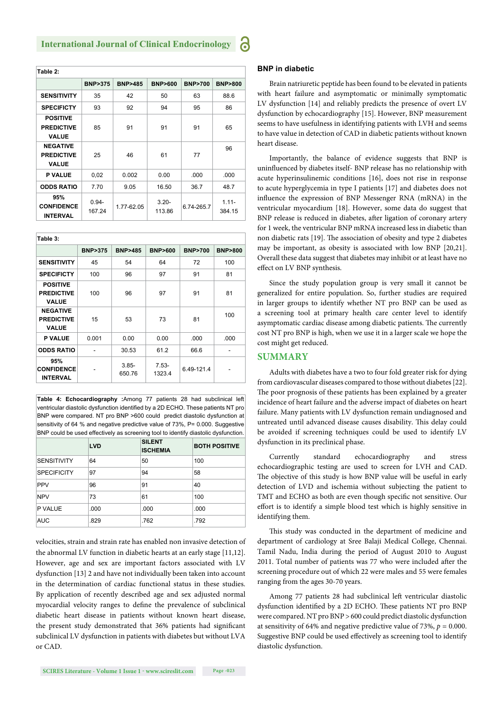| Table 2:                                             |                    |                   |                    |                   |                    |
|------------------------------------------------------|--------------------|-------------------|--------------------|-------------------|--------------------|
|                                                      | <b>BNP&gt;375</b>  | <b>BNP&gt;485</b> | <b>BNP&gt;600</b>  | <b>BNP&gt;700</b> | <b>BNP&gt;800</b>  |
| <b>SENSITIVITY</b>                                   | 35                 | 42                | 50                 | 63                | 88.6               |
| <b>SPECIFICTY</b>                                    | 93                 | 92                | 94                 | 95                | 86                 |
| <b>POSITIVE</b><br><b>PREDICTIVE</b><br><b>VALUE</b> | 85                 | 91                | 91                 | 91                | 65                 |
| <b>NEGATIVE</b><br><b>PREDICTIVE</b><br><b>VALUE</b> | 25                 | 46                | 61                 | 77                | 96                 |
| <b>P VALUE</b>                                       | 0,02               | 0.002             | 0.00               | .000              | .000               |
| <b>ODDS RATIO</b>                                    | 7.70               | 9.05              | 16.50              | 36.7              | 48.7               |
| 95%<br><b>CONFIDENCE</b><br><b>INTERVAL</b>          | $0.94 -$<br>167.24 | 1.77-62.05        | $3.20 -$<br>113.86 | 6.74-265.7        | $1.11 -$<br>384.15 |

| Table 3:                                             |                   |                    |                   |                   |                   |
|------------------------------------------------------|-------------------|--------------------|-------------------|-------------------|-------------------|
|                                                      | <b>BNP&gt;375</b> | <b>BNP&gt;485</b>  | <b>BNP&gt;600</b> | <b>BNP&gt;700</b> | <b>BNP&gt;800</b> |
| <b>SENSITIVITY</b>                                   | 45                | 54                 | 64                | 72                | 100               |
| <b>SPECIFICTY</b>                                    | 100               | 96                 | 97                | 91                | 81                |
| <b>POSITIVE</b><br><b>PREDICTIVE</b><br><b>VALUE</b> | 100               | 96                 | 97                | 91                | 81                |
| <b>NEGATIVE</b><br><b>PREDICTIVE</b><br><b>VALUE</b> | 15                | 53                 | 73                | 81                | 100               |
| <b>P VALUE</b>                                       | 0.001             | 0.00               | 0.00              | .000              | .000              |
| <b>ODDS RATIO</b>                                    |                   | 30.53              | 61.2              | 66.6              |                   |
| 95%<br><b>CONFIDENCE</b><br><b>INTERVAL</b>          |                   | $3.85 -$<br>650.76 | $7.53-$<br>1323.4 | 6.49-121.4        |                   |

**Table 4: Echocardiography :**Among 77 patients 28 had subclinical left ventricular diastolic dysfunction identified by a 2D ECHO. These patients NT pro BNP were compared. NT pro BNP >600 could predict diastolic dysfunction at sensitivity of 64 % and negative predictive value of 73%, P= 0.000. Suggestive BNP could be used effectively as screening tool to identify diastolic dysfunction.

|                    | <b>LVD</b> | <b>SILENT</b><br><b>ISCHEMIA</b> | <b>BOTH POSITIVE</b> |
|--------------------|------------|----------------------------------|----------------------|
| <b>SENSITIVITY</b> | 64         | 50                               | 100                  |
| <b>SPECIFICITY</b> | 97         | 94                               | 58                   |
| <b>PPV</b>         | 96         | 91                               | 40                   |
| <b>NPV</b>         | 73         | 61                               | 100                  |
| P VALUE            | .000       | .000                             | .000                 |
| <b>AUC</b>         | .829       | .762                             | .792                 |

velocities, strain and strain rate has enabled non invasive detection of the abnormal LV function in diabetic hearts at an early stage [11,12]. However, age and sex are important factors associated with LV dysfunction [13] 2 and have not individually been taken into account in the determination of cardiac functional status in these studies. By application of recently described age and sex adjusted normal myocardial velocity ranges to define the prevalence of subclinical diabetic heart disease in patients without known heart disease, the present study demonstrated that 36% patients had significant subclinical LV dysfunction in patients with diabetes but without LVA or CAD.

#### **BNP in diabetic**

Brain natriuretic peptide has been found to be elevated in patients with heart failure and asymptomatic or minimally symptomatic LV dysfunction [14] and reliably predicts the presence of overt LV dysfunction by echocardiography [15]. However, BNP measurement seems to have usefulness in identifying patients with LVH and seems to have value in detection of CAD in diabetic patients without known heart disease.

Importantly, the balance of evidence suggests that BNP is uninfluenced by diabetes itself- BNP release has no relationship with acute hyperinsulinemic conditions [16], does not rise in response to acute hyperglycemia in type I patients [17] and diabetes does not influence the expression of BNP Messenger RNA (mRNA) in the ventricular myocardium [18]. However, some data do suggest that BNP release is reduced in diabetes, after ligation of coronary artery for 1 week, the ventricular BNP mRNA increased less in diabetic than non diabetic rats [19]. The association of obesity and type 2 diabetes may be important, as obesity is associated with low BNP [20,21]. Overall these data suggest that diabetes may inhibit or at least have no effect on LV BNP synthesis.

Since the study population group is very small it cannot be generalized for entire population. So, further studies are required in larger groups to identify whether NT pro BNP can be used as a screening tool at primary health care center level to identify asymptomatic cardiac disease among diabetic patients. The currently cost NT pro BNP is high, when we use it in a larger scale we hope the cost might get reduced.

#### **SUMMARY**

Adults with diabetes have a two to four fold greater risk for dying from cardiovascular diseases compared to those without diabetes [22]. The poor prognosis of these patients has been explained by a greater incidence of heart failure and the adverse impact of diabetes on heart failure. Many patients with LV dysfunction remain undiagnosed and untreated until advanced disease causes disability. This delay could be avoided if screening techniques could be used to identify LV dysfunction in its preclinical phase.

Currently standard echocardiography and stress echocardiographic testing are used to screen for LVH and CAD. The objective of this study is how BNP value will be useful in early detection of LVD and ischemia without subjecting the patient to TMT and ECHO as both are even though specific not sensitive. Our effort is to identify a simple blood test which is highly sensitive in identifying them.

This study was conducted in the department of medicine and department of cardiology at Sree Balaji Medical College, Chennai. Tamil Nadu, India during the period of August 2010 to August 2011. Total number of patients was 77 who were included after the screening procedure out of which 22 were males and 55 were females ranging from the ages 30-70 years.

Among 77 patients 28 had subclinical left ventricular diastolic dysfunction identified by a 2D ECHO. These patients NT pro BNP were compared. NT pro BNP > 600 could predict diastolic dysfunction at sensitivity of 64% and negative predictive value of 73%,  $p = 0.000$ . Suggestive BNP could be used effectively as screening tool to identify diastolic dysfunction.